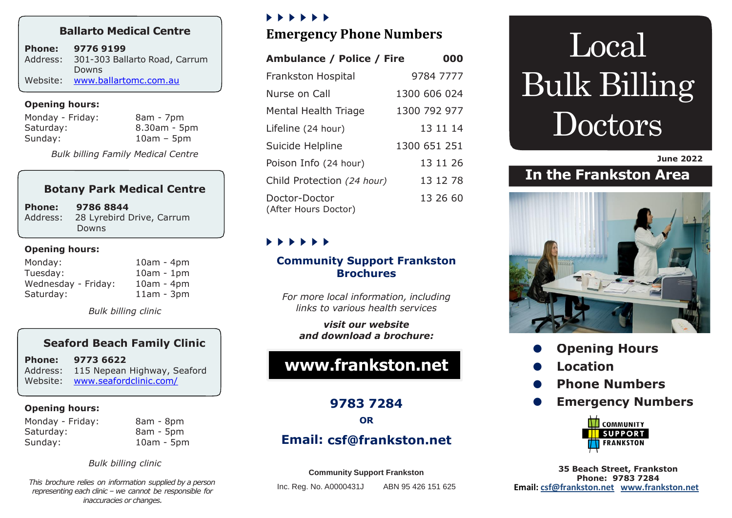# **Ballarto Medical Centre**

| <b>Phone:</b> | 9776 9199                      |
|---------------|--------------------------------|
| Address:      | 301-303 Ballarto Road, Carrum  |
|               | Downs                          |
|               | Website: www.ballartomc.com.au |

#### **Opening hours:**

| 8am - 7pm    |
|--------------|
| 8.30am - 5pm |
| $10am - 5pm$ |
|              |

*Bulk billing Family Medical Centre*

# **Botany Park Medical Centre**

**Phone: 9786 8844** Address:28 Lyrebird Drive, Carrum Downs

#### **Opening hours:**

| Monday:             | $10am - 4pm$ |
|---------------------|--------------|
| Tuesday:            | $10am - 1pm$ |
| Wednesday - Friday: | $10am - 4pm$ |
| Saturday:           | $11am - 3pm$ |

*Bulk billing clinic*

## **Seaford Beach Family Clinic**

| <b>Phone:</b> | 9773 6622                            |
|---------------|--------------------------------------|
|               | Address: 115 Nepean Highway, Seaford |
|               | Website: www.seafordclinic.com/      |

#### **Opening hours:**

Monday - Friday: 8am - 8pm Saturday: 8am - 5pm Sunday: 10am - 5pm

*Bulk billing clinic*

*This brochure relies on information supplied by a person representing each clinic – we cannot be responsible for inaccuracies or changes.*

## , , , , , ,

# **Emergency Phone Numbers**

| <b>Ambulance / Police / Fire</b>      | 000          |
|---------------------------------------|--------------|
| <b>Frankston Hospital</b>             | 9784 7777    |
| Nurse on Call                         | 1300 606 024 |
| Mental Health Triage                  | 1300 792 977 |
| Lifeline (24 hour)                    | 13 11 14     |
| Suicide Helpline                      | 1300 651 251 |
| Poison Info (24 hour)                 | 13 11 26     |
| Child Protection (24 hour)            | 13 12 78     |
| Doctor-Doctor<br>(After Hours Doctor) | 13 26 60     |

# , , , , , ,

## **Community Support Frankston Brochures**

*For more local information, including links to various health services* 

*visit our website and download a brochure:*

# **[www.frankston.net](http://www.frankston.net/)**

**9783 7284**

**OR** 

# **Email: [csf@frankston.net](mailto:csf@frankston.net)**

#### **Community Support Frankston**

Inc. Reg. No. A0000431J ABN 95 426 151 625

# Local Bulk Billing Doctors

**June 2022**

# **In the Frankston Area**



- **Opening Hours**
- **Location**
- **Phone Numbers**
- **Emergency Numbers**



**35 Beach Street, Frankston Phone: 9783 7284 Email: [csf@frankston.net](mailto:csf@frankston.net) [www.frankston.net](http://www.frankston.net/)**